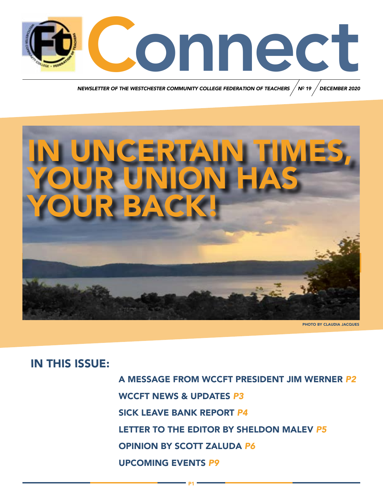

*NEWSLETTER OF THE WESTCHESTER COMMUNITY COLLEGE FEDERATION OF TEACHERS N DECEMBER 2020 <sup>O</sup> 19*



P1

PHOTO BY CLAUDIA JACQUES

# IN THIS ISSUE:

A MESSAGE FROM WCCFT PRESIDENT JIM WERNER *P2* WCCFT NEWS & UPDATES *P3* SICK LEAVE BANK REPORT *P4* LETTER TO THE EDITOR BY SHELDON MALEV *P5* OPINION BY SCOTT ZALUDA *P6* UPCOMING EVENTS *P9*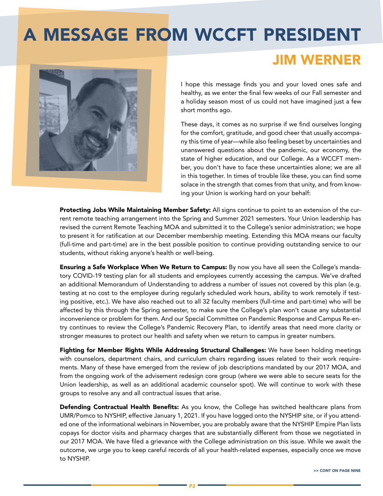# A MESSAGE FROM WCCFT PRESIDENT

# JIM WERNER

I hope this message finds you and your loved ones safe and healthy, as we enter the final few weeks of our Fall semester and a holiday season most of us could not have imagined just a few short months ago.

These days, it comes as no surprise if we find ourselves longing for the comfort, gratitude, and good cheer that usually accompany this time of year—while also feeling beset by uncertainties and unanswered questions about the pandemic, our economy, the state of higher education, and our College. As a WCCFT member, you don't have to face these uncertainties alone; we are all in this together. In times of trouble like these, you can find some solace in the strength that comes from that unity, and from knowing your Union is working hard on your behalf:

Protecting Jobs While Maintaining Member Safety: All signs continue to point to an extension of the current remote teaching arrangement into the Spring and Summer 2021 semesters. Your Union leadership has revised the current Remote Teaching MOA and submitted it to the College's senior administration; we hope to present it for ratification at our December membership meeting. Extending this MOA means our faculty (full-time and part-time) are in the best possible position to continue providing outstanding service to our students, without risking anyone's health or well-being.

**Ensuring a Safe Workplace When We Return to Campus:** By now you have all seen the College's mandatory COVID-19 testing plan for all students and employees currently accessing the campus. We've drafted an additional Memorandum of Understanding to address a number of issues not covered by this plan (e.g. testing at no cost to the employee during regularly scheduled work hours, ability to work remotely if testing positive, etc.). We have also reached out to all 32 faculty members (full-time and part-time) who will be affected by this through the Spring semester, to make sure the College's plan won't cause any substantial inconvenience or problem for them. And our Special Committee on Pandemic Response and Campus Re-entry continues to review the College's Pandemic Recovery Plan, to identify areas that need more clarity or stronger measures to protect our health and safety when we return to campus in greater numbers.

Fighting for Member Rights While Addressing Structural Challenges: We have been holding meetings with counselors, department chairs, and curriculum chairs regarding issues related to their work requirements. Many of these have emerged from the review of job descriptions mandated by our 2017 MOA, and from the ongoing work of the advisement redesign core group (where we were able to secure seats for the Union leadership, as well as an additional academic counselor spot). We will continue to work with these groups to resolve any and all contractual issues that arise.

**Defending Contractual Health Benefits:** As you know, the College has switched healthcare plans from UMR/Pomco to NYSHIP, effective January 1, 2021. If you have logged onto the NYSHIP site, or if you attended one of the informational webinars in November, you are probably aware that the NYSHIP Empire Plan lists copays for doctor visits and pharmacy charges that are substantially different from those we negotiated in our 2017 MOA. We have filed a grievance with the College administration on this issue. While we await the outcome, we urge you to keep careful records of all your health-related expenses, especially once we move to NYSHIP.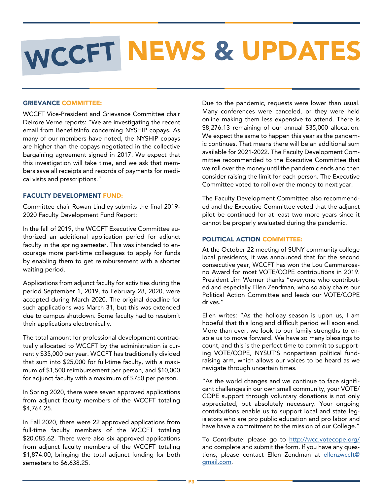# WCCFT NEWS & UPDATES

## GRIEVANCE COMMITTEE:

WCCFT Vice-President and Grievance Committee chair Deirdre Verne reports: "We are investigating the recent email from BenefitsInfo concerning NYSHIP copays. As many of our members have noted, the NYSHIP copays are higher than the copays negotiated in the collective bargaining agreement signed in 2017. We expect that this investigation will take time, and we ask that members save all receipts and records of payments for medical visits and prescriptions."

### FACULTY DEVELOPMENT FUND:

Committee chair Rowan Lindley submits the final 2019- 2020 Faculty Development Fund Report:

In the fall of 2019, the WCCFT Executive Committee authorized an additional application period for adjunct faculty in the spring semester. This was intended to encourage more part-time colleagues to apply for funds by enabling them to get reimbursement with a shorter waiting period.

Applications from adjunct faculty for activities during the period September 1, 2019, to February 28, 2020, were accepted during March 2020. The original deadline for such applications was March 31, but this was extended due to campus shutdown. Some faculty had to resubmit their applications electronically.

The total amount for professional development contractually allocated to WCCFT by the administration is currently \$35,000 per year. WCCFT has traditionally divided that sum into \$25,000 for full-time faculty, with a maximum of \$1,500 reimbursement per person, and \$10,000 for adjunct faculty with a maximum of \$750 per person.

In Spring 2020, there were seven approved applications from adjunct faculty members of the WCCFT totaling \$4,764.25.

In Fall 2020, there were 22 approved applications from full-time faculty members of the WCCFT totaling \$20,085.62. There were also six approved applications from adjunct faculty members of the WCCFT totaling \$1,874.00, bringing the total adjunct funding for both semesters to \$6,638.25.

Due to the pandemic, requests were lower than usual. Many conferences were canceled, or they were held online making them less expensive to attend. There is \$8,276.13 remaining of our annual \$35,000 allocation. We expect the same to happen this year as the pandemic continues. That means there will be an additional sum available for 2021-2022. The Faculty Development Committee recommended to the Executive Committee that we roll over the money until the pandemic ends and then consider raising the limit for each person. The Executive Committee voted to roll over the money to next year.

The Faculty Development Committee also recommended and the Executive Committee voted that the adjunct pilot be continued for at least two more years since it cannot be properly evaluated during the pandemic.

## POLITICAL ACTION COMMITTEE:

At the October 22 meeting of SUNY community college local presidents, it was announced that for the second consecutive year, WCCFT has won the Lou Cammarosano Award for most VOTE/COPE contributions in 2019. President Jim Werner thanks "everyone who contributed and especially Ellen Zendman, who so ably chairs our Political Action Committee and leads our VOTE/COPE drives."

Ellen writes: "As the holiday season is upon us, I am hopeful that this long and difficult period will soon end. More than ever, we look to our family strengths to enable us to move forward. We have so many blessings to count, and this is the perfect time to commit to supporting VOTE/COPE, NYSUT'S nonpartisan political fundraising arm, which allows our voices to be heard as we navigate through uncertain times.

"As the world changes and we continue to face significant challenges in our own small community, your VOTE/ COPE support through voluntary donations is not only appreciated, but absolutely necessary. Your ongoing contributions enable us to support local and state legislators who are pro public education and pro labor and have have a commitment to the mission of our College."

To Contribute: please go to [http://wcc.votecope.org/](http://wcc.votecope.org/ ) and complete and submit the form. If you have any questions, please contact Ellen Zendman at [ellenzwccft@](mailto:ellenzwccft@gmail.com) [gmail.com.](mailto:ellenzwccft@gmail.com)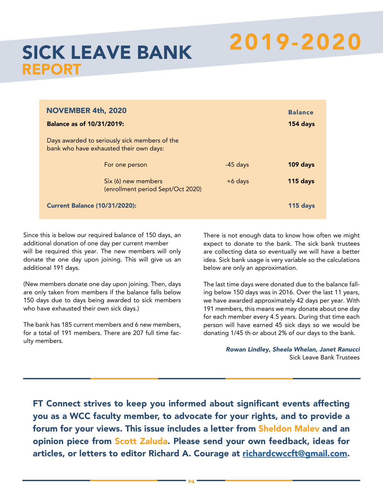# 2019-2020 SICK LEAVE BANK

# REPORT

| <b>NOVEMBER 4th, 2020</b><br><b>Balance as of 10/31/2019:</b>                            |            | <b>Balance</b><br>154 days |
|------------------------------------------------------------------------------------------|------------|----------------------------|
| Days awarded to seriously sick members of the<br>bank who have exhausted their own days: |            |                            |
| For one person                                                                           | $-45$ days | 109 days                   |
| Six (6) new members<br>(enrollment period Sept/Oct 2020)                                 | $+6$ days  | 115 days                   |
| <b>Current Balance (10/31/2020):</b>                                                     |            | 115 days                   |
|                                                                                          |            |                            |

Since this is below our required balance of 150 days, an additional donation of one day per current member will be required this year. The new members will only donate the one day upon joining. This will give us an additional 191 days.

(New members donate one day upon joining. Then, days are only taken from members if the balance falls below 150 days due to days being awarded to sick members who have exhausted their own sick days.)

The bank has 185 current members and 6 new members, for a total of 191 members. There are 207 full time faculty members.

There is not enough data to know how often we might expect to donate to the bank. The sick bank trustees are collecting data so eventually we will have a better idea. Sick bank usage is very variable so the calculations below are only an approximation.

The last time days were donated due to the balance falling below 150 days was in 2016. Over the last 11 years, we have awarded approximately 42 days per year. With 191 members, this means we may donate about one day for each member every 4.5 years. During that time each person will have earned 45 sick days so we would be donating 1/45 th or about 2% of our days to the bank.

> *Rowan Lindley, Sheela Whelan, Janet Ranucci*  Sick Leave Bank Trustees

FT Connect strives to keep you informed about significant events affecting you as a WCC faculty member, to advocate for your rights, and to provide a forum for your views. This issue includes a letter from Sheldon Malev and an opinion piece from Scott Zaluda. Please send your own feedback, ideas for articles, or letters to editor Richard A. Courage at [richardcwccft@gmail.com](mailto:richardcwccft@gmail.com).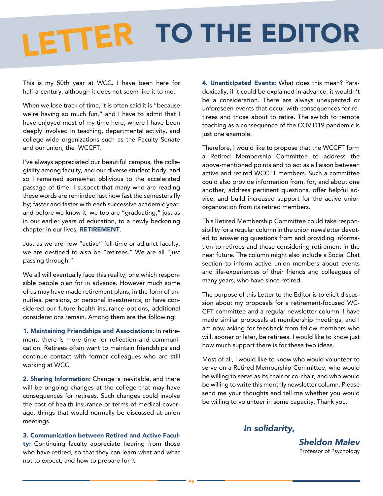# LETTER TO THE EDITOR

This is my 50th year at WCC. I have been here for half-a-century, although it does not seem like it to me.

When we lose track of time, it is often said it is "because we're having so much fun," and I have to admit that I have enjoyed most of my time here, where I have been deeply involved in teaching, departmental activity, and college-wide organizations such as the Faculty Senate and our union, the WCCFT.

I've always appreciated our beautiful campus, the collegiality among faculty, and our diverse student body, and so I remained somewhat oblivious to the accelerated passage of time. I suspect that many who are reading these words are reminded just how fast the semesters fly by; faster and faster with each successive academic year, and before we know it, we too are "graduating," just as in our earlier years of education, to a newly beckoning chapter in our lives; RETIREMENT.

Just as we are now "active" full-time or adjunct faculty, we are destined to also be "retirees." We are all "just passing through."

We all will eventually face this reality, one which responsible people plan for in advance. However much some of us may have made retirement plans, in the form of annuities, pensions, or personal investments, or have considered our future health insurance options, additional considerations remain. Among them are the following:

1. Maintaining Friendships and Associations: In retirement, there is more time for reflection and communication. Retirees often want to maintain friendships and continue contact with former colleagues who are still working at WCC.

2. Sharing Information: Change is inevitable, and there will be ongoing changes at the college that may have consequences for retirees. Such changes could involve the cost of health insurance or terms of medical coverage, things that would normally be discussed at union meetings.

3. Communication between Retired and Active Faculty: Continuing faculty appreciate hearing from those who have retired, so that they can learn what and what not to expect, and how to prepare for it.

4. Unanticipated Events: What does this mean? Paradoxically, if it could be explained in advance, it wouldn't be a consideration. There are always unexpected or unforeseen events that occur with consequences for retirees and those about to retire. The switch to remote teaching as a consequence of the COVID19 pandemic is just one example.

Therefore, I would like to propose that the WCCFT form a Retired Membership Committee to address the above-mentioned points and to act as a liaison between active and retired WCCFT members. Such a committee could also provide information from, for, and about one another, address pertinent questions, offer helpful advice, and build increased support for the active union organization from its retired members.

This Retired Membership Committee could take responsibility for a regular column in the union newsletter devoted to answering questions from and providing information to retirees and those considering retirement in the near future. The column might also include a Social Chat section to inform active union members about events and life-experiences of their friends and colleagues of many years, who have since retired.

The purpose of this Letter to the Editor is to elicit discussion about my proposals for a retirement-focused WC-CFT committee and a regular newsletter column. I have made similar proposals at membership meetings, and I am now asking for feedback from fellow members who will, sooner or later, be retirees. I would like to know just how much support there is for these two ideas.

Most of all, I would like to know who would volunteer to serve on a Retired Membership Committee, who would be willing to serve as its chair or co-chair, and who would be willing to write this monthly newsletter column. Please send me your thoughts and tell me whether you would be willing to volunteer in some capacity. Thank you.

## *In solidarity,*

*Sheldon Malev* Professor of Psychology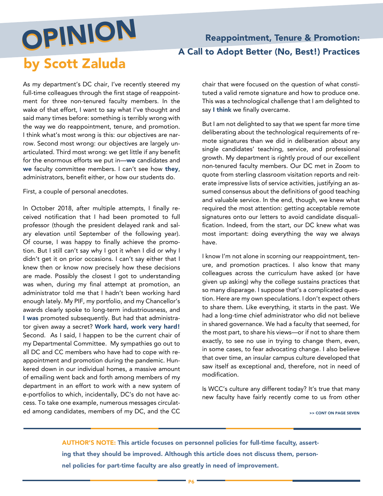# OPINION OPINION by Scott Zaluda

# Reappointment, Tenure & Promotion: A Call to Adopt Better (No, Best!) Practices

As my department's DC chair, I've recently steered my full-time colleagues through the first stage of reappointment for three non-tenured faculty members. In the wake of that effort, I want to say what I've thought and said many times before: something is terribly wrong with the way we do reappointment, tenure, and promotion. I think what's most wrong is this: our objectives are narrow. Second most wrong: our objectives are largely unarticulated. Third most wrong: we get little if any benefit for the enormous efforts we put in—we candidates and we faculty committee members. I can't see how they, administrators, benefit either, or how our students do.

First, a couple of personal anecdotes.

In October 2018, after multiple attempts, I finally received notification that I had been promoted to full professor (though the president delayed rank and salary elevation until September of the following year). Of course, I was happy to finally achieve the promotion. But I still can't say why I got it when I did or why I didn't get it on prior occasions. I can't say either that I knew then or know now precisely how these decisions are made. Possibly the closest I got to understanding was when, during my final attempt at promotion, an administrator told me that I hadn't been working hard enough lately. My PIF, my portfolio, and my Chancellor's awards clearly spoke to long-term industriousness, and I was promoted subsequently. But had that administrator given away a secret? Work hard, work very hard! Second. As I said, I happen to be the current chair of my Departmental Committee. My sympathies go out to all DC and CC members who have had to cope with reappointment and promotion during the pandemic. Hunkered down in our individual homes, a massive amount of emailing went back and forth among members of my department in an effort to work with a new system of e-portfolios to which, incidentally, DC's do not have access. To take one example, numerous messages circulated among candidates, members of my DC, and the CC chair that were focused on the question of what constituted a valid remote signature and how to produce one. This was a technological challenge that I am delighted to say I think we finally overcame.

But I am not delighted to say that we spent far more time deliberating about the technological requirements of remote signatures than we did in deliberation about any single candidates' teaching, service, and professional growth. My department is rightly proud of our excellent non-tenured faculty members. Our DC met in Zoom to quote from sterling classroom visitation reports and reiterate impressive lists of service activities, justifying an assumed consensus about the definitions of good teaching and valuable service. In the end, though, we knew what required the most attention: getting acceptable remote signatures onto our letters to avoid candidate disqualification. Indeed, from the start, our DC knew what was most important: doing everything the way we always have.

I know I'm not alone in scorning our reappointment, tenure, and promotion practices. I also know that many colleagues across the curriculum have asked (or have given up asking) why the college sustains practices that so many disparage. I suppose that's a complicated question. Here are my own speculations. I don't expect others to share them. Like everything, it starts in the past. We had a long-time chief administrator who did not believe in shared governance. We had a faculty that seemed, for the most part, to share his views—or if not to share them exactly, to see no use in trying to change them, even, in some cases, to fear advocating change. I also believe that over time, an insular campus culture developed that saw itself as exceptional and, therefore, not in need of modification.

Is WCC's culture any different today? It's true that many new faculty have fairly recently come to us from other

>> CONT ON PAGE SEVEN

AUTHOR'S NOTE: This article focuses on personnel policies for full-time faculty, asserting that they should be improved. Although this article does not discuss them, personnel policies for part-time faculty are also greatly in need of improvement.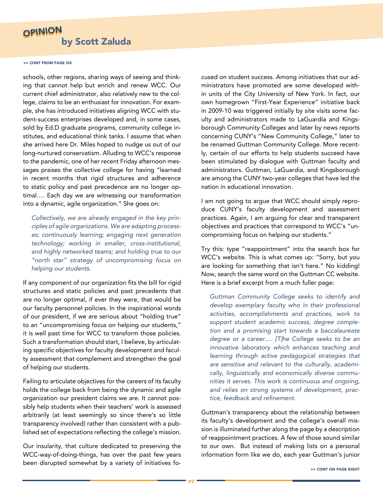# OPINION by Scott Zaluda

#### >> CONT FROM PAGE SIX

schools, other regions, sharing ways of seeing and thinking that cannot help but enrich and renew WCC. Our current chief administrator, also relatively new to the college, claims to be an enthusiast for innovation. For example, she has introduced initiatives aligning WCC with student-success enterprises developed and, in some cases, sold by Ed.D graduate programs, community college institutes, and educational think tanks. I assume that when she arrived here Dr. Miles hoped to nudge us out of our long-nurtured conservatism. Alluding to WCC's response to the pandemic, one of her recent Friday afternoon messages praises the collective college for having "learned in recent months that rigid structures and adherence to static policy and past precedence are no longer optimal…. Each day we are witnessing our transformation into a dynamic, agile organization." She goes on:

*Collectively, we are already engaged in the key principles of agile organizations. We are adapting processes; continuously learning; engaging next generation technology; working in smaller, cross-institutional, and highly networked teams; and holding true to our "north star" strategy of uncompromising focus on helping our students.*

If any component of our organization fits the bill for rigid structures and static policies and past precedents that are no longer optimal, if ever they were, that would be our faculty personnel policies. In the inspirational words of our president, if we are serious about "holding true" to an "uncompromising focus on helping our students," it is well past time for WCC to transform those policies. Such a transformation should start, I believe, by articulating specific objectives for faculty development and faculty assessment that complement and strengthen the goal of helping our students.

Failing to articulate objectives for the careers of its faculty holds the college back from being the dynamic and agile organization our president claims we are. It cannot possibly help students when their teachers' work is assessed arbitrarily (at least seemingly so since there's so little transparency involved) rather than consistent with a published set of expectations reflecting the college's mission.

Our insularity, that culture dedicated to preserving the WCC-way-of-doing-things, has over the past few years been disrupted somewhat by a variety of initiatives focused on student success. Among initiatives that our administrators have promoted are some developed within units of the City University of New York. In fact, our own homegrown "First-Year Experience" initiative back in 2009-10 was triggered initially by site visits some faculty and administrators made to LaGuardia and Kingsborough Community Colleges and later by news reports concerning CUNY's "New Community College," later to be renamed Guttman Community College. More recently, certain of our efforts to help students succeed have been stimulated by dialogue with Guttman faculty and administrators. Guttman, LaGuardia, and Kingsborough are among the CUNY two-year colleges that have led the nation in educational innovation.

I am not going to argue that WCC should simply reproduce CUNY's faculty development and assessment practices. Again, I am arguing for clear and transparent objectives and practices that correspond to WCC's "uncompromising focus on helping our students."

Try this: type "reappointment" into the search box for WCC's website. This is what comes up: "Sorry, but you are looking for something that isn't here." No kidding! Now, search the same word on the Guttman CC website. Here is a brief excerpt from a much fuller page:

*Guttman Community College seeks to identify and develop exemplary faculty who in their professional activities, accomplishments and practices, work to support student academic success, degree completion and a promising start towards a baccalaureate degree or a career…. [T]he College seeks to be an innovative laboratory which enhances teaching and learning through active pedagogical strategies that are sensitive and relevant to the culturally, academically, linguistically and economically diverse communities it serves. This work is continuous and ongoing, and relies on strong systems of development, practice, feedback and refinement.*

Guttman's transparency about the relationship between its faculty's development and the college's overall mission is illuminated further along the page by a description of reappointment practices. A few of those sound similar to our own. But instead of making lists on a personal information form like we do, each year Guttman's junior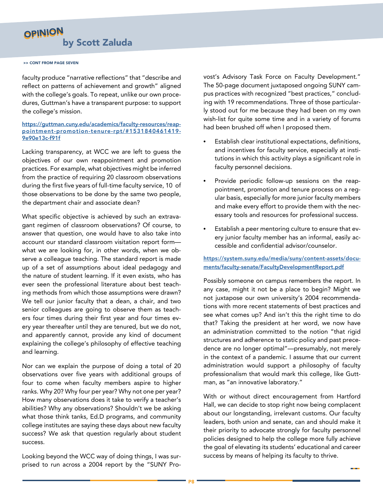# OPINION by Scott Zaluda

#### >> CONT FROM PAGE SEVEN

faculty produce "narrative reflections" that "describe and reflect on patterns of achievement and growth" aligned with the college's goals. To repeat, unlike our own procedures, Guttman's have a transparent purpose: to support the college's mission.

#### [https://guttman.cuny.edu/academics/faculty-resources/reap](https://guttman.cuny.edu/academics/faculty-resources/reappointment-promotion-tenure-rpt/#1531840461419-9e90e13c-f91f)[pointment-promotion-tenure-rpt/#1531840461419-](https://guttman.cuny.edu/academics/faculty-resources/reappointment-promotion-tenure-rpt/#1531840461419-9e90e13c-f91f) [9e90e13c-f91](https://guttman.cuny.edu/academics/faculty-resources/reappointment-promotion-tenure-rpt/#1531840461419-9e90e13c-f91f)f

Lacking transparency, at WCC we are left to guess the objectives of our own reappointment and promotion practices. For example, what objectives might be inferred from the practice of requiring 20 classroom observations during the first five years of full-time faculty service, 10 of those observations to be done by the same two people, the department chair and associate dean?

What specific objective is achieved by such an extravagant regimen of classroom observations? Of course, to answer that question, one would have to also take into account our standard classroom visitation report form what we are looking for, in other words, when we observe a colleague teaching. The standard report is made up of a set of assumptions about ideal pedagogy and the nature of student learning. If it even exists, who has ever seen the professional literature about best teaching methods from which those assumptions were drawn? We tell our junior faculty that a dean, a chair, and two senior colleagues are going to observe them as teachers four times during their first year and four times every year thereafter until they are tenured, but we do not, and apparently cannot, provide any kind of document explaining the college's philosophy of effective teaching and learning.

Nor can we explain the purpose of doing a total of 20 observations over five years with additional groups of four to come when faculty members aspire to higher ranks. Why 20? Why four per year? Why not one per year? How many observations does it take to verify a teacher's abilities? Why any observations? Shouldn't we be asking what those think tanks, Ed.D programs, and community college institutes are saying these days about new faculty success? We ask that question regularly about student success.

Looking beyond the WCC way of doing things, I was surprised to run across a 2004 report by the "SUNY Provost's Advisory Task Force on Faculty Development." The 50-page document juxtaposed ongoing SUNY campus practices with recognized "best practices," concluding with 19 recommendations. Three of those particularly stood out for me because they had been on my own wish-list for quite some time and in a variety of forums had been brushed off when I proposed them.

- Establish clear institutional expectations, definitions, and incentives for faculty service, especially at institutions in which this activity plays a significant role in faculty personnel decisions.
- Provide periodic follow-up sessions on the reappointment, promotion and tenure process on a regular basis, especially for more junior faculty members and make every effort to provide them with the necessary tools and resources for professional success.
- Establish a peer mentoring culture to ensure that every junior faculty member has an informal, easily accessible and confidential advisor/counselor.

## [https://system.suny.edu/media/suny/content-assets/docu](https://system.suny.edu/media/suny/content-assets/documents/faculty-senate/FacultyDevelopmentReport.pdf)[ments/faculty-senate/FacultyDevelopmentReport.pdf](https://system.suny.edu/media/suny/content-assets/documents/faculty-senate/FacultyDevelopmentReport.pdf)

Possibly someone on campus remembers the report. In any case, might it not be a place to begin? Might we not juxtapose our own university's 2004 recommendations with more recent statements of best practices and see what comes up? And isn't this the right time to do that? Taking the president at her word, we now have an administration committed to the notion "that rigid structures and adherence to static policy and past precedence are no longer optimal"—presumably, not merely in the context of a pandemic. I assume that our current administration would support a philosophy of faculty professionalism that would mark this college, like Guttman, as "an innovative laboratory."

With or without direct encouragement from Hartford Hall, we can decide to stop right now being complacent about our longstanding, irrelevant customs. Our faculty leaders, both union and senate, can and should make it their priority to advocate strongly for faculty personnel policies designed to help the college more fully achieve the goal of elevating its students' educational and career success by means of helping its faculty to thrive.